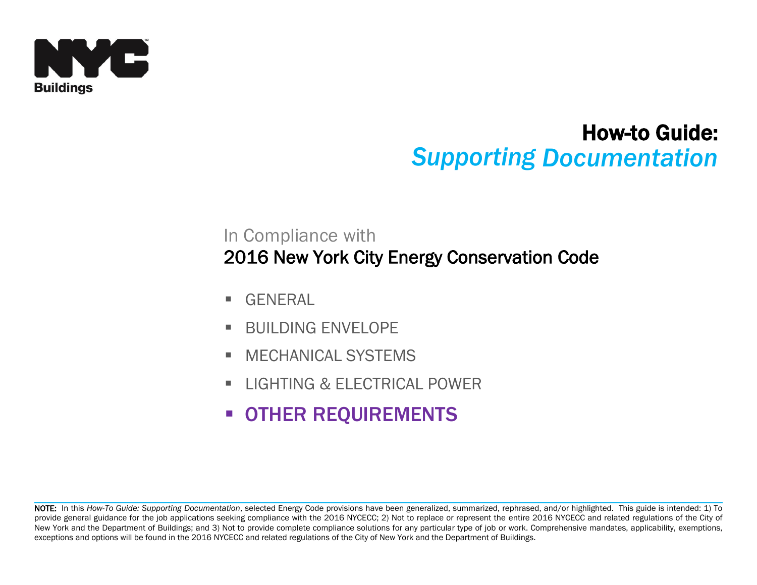

# How-to Guide: *Supporting Documentation*

# In Compliance with 2016 New York City Energy Conservation Code

- GENERAL
- **BUILDING ENVELOPE**
- **NECHANICAL SYSTEMS**
- **ILIGHTING & FLECTRICAL POWER**
- **OTHER REQUIREMENTS**

NOTE: In this *How-To Guide: Supporting Documentation*, selected Energy Code provisions have been generalized, summarized, rephrased, and/or highlighted. This guide is intended: 1) To provide general guidance for the job applications seeking compliance with the 2016 NYCECC; 2) Not to replace or represent the entire 2016 NYCECC and related regulations of the City of New York and the Department of Buildings; and 3) Not to provide complete compliance solutions for any particular type of job or work. Comprehensive mandates, applicability, exemptions, exceptions and options will be found in the 2016 NYCECC and related regulations of the City of New York and the Department of Buildings.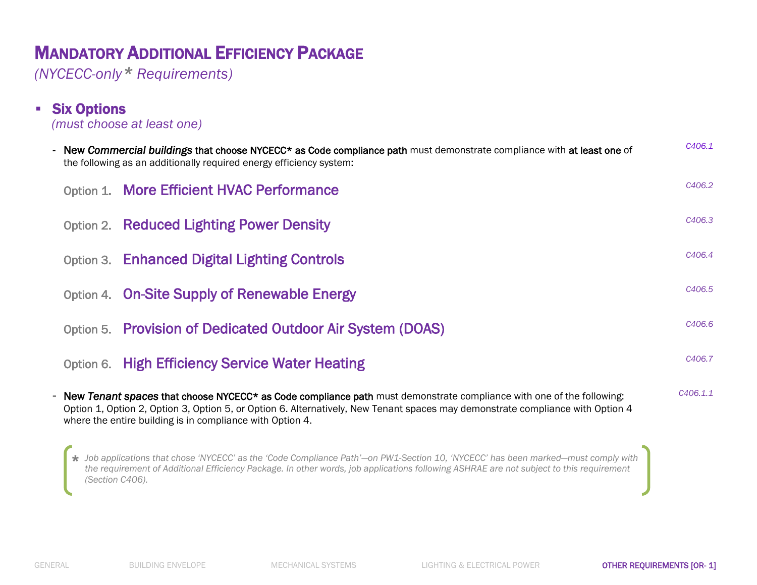*(NYCECC-only\* Requirements)* 

**Six Options** 

|  | (must choose at least one)                                                                                                                                                                                                                                                                                                        |                    |
|--|-----------------------------------------------------------------------------------------------------------------------------------------------------------------------------------------------------------------------------------------------------------------------------------------------------------------------------------|--------------------|
|  | - New Commercial buildings that choose NYCECC* as Code compliance path must demonstrate compliance with at least one of<br>the following as an additionally required energy efficiency system:                                                                                                                                    | C406.1             |
|  | Option 1. More Efficient HVAC Performance                                                                                                                                                                                                                                                                                         | C406.2             |
|  | <b>Option 2. Reduced Lighting Power Density</b>                                                                                                                                                                                                                                                                                   | C406.3             |
|  | Option 3. Enhanced Digital Lighting Controls                                                                                                                                                                                                                                                                                      | C <sub>406.4</sub> |
|  | Option 4. On-Site Supply of Renewable Energy                                                                                                                                                                                                                                                                                      | C406.5             |
|  | Option 5. Provision of Dedicated Outdoor Air System (DOAS)                                                                                                                                                                                                                                                                        | C406.6             |
|  | Option 6. High Efficiency Service Water Heating                                                                                                                                                                                                                                                                                   | C406.7             |
|  | - New Tenant spaces that choose NYCECC <sup>*</sup> as Code compliance path must demonstrate compliance with one of the following:<br>Option 1, Option 2, Option 3, Option 5, or Option 6. Alternatively, New Tenant spaces may demonstrate compliance with Option 4<br>where the entire building is in compliance with Option 4. | C406.1.1           |

*Job applications that chose 'NYCECC' as the 'Code Compliance Path'—on PW1-Section 10, 'NYCECC' has been marked—must comply with*  **\****the requirement of Additional Efficiency Package. In other words, job applications following ASHRAE are not subject to this requirement (Section C406).*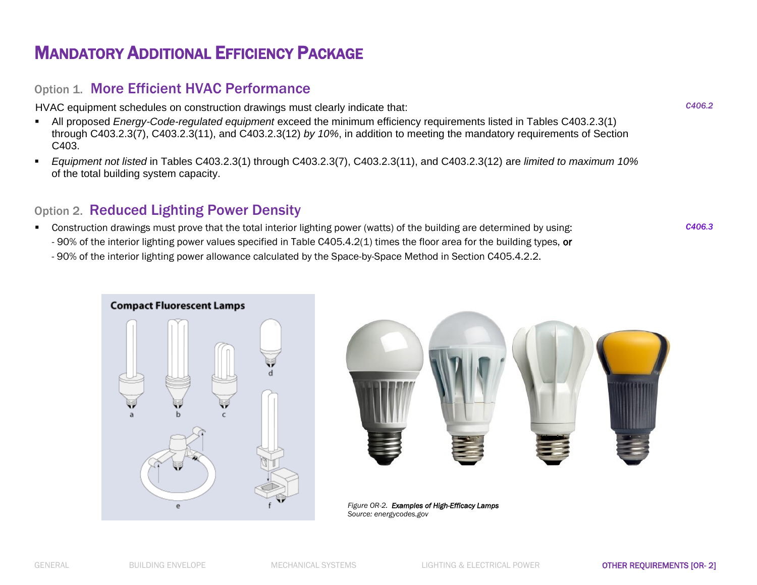### Option 1. More Efficient HVAC Performance

HVAC equipment schedules on construction drawings must clearly indicate that:

- All proposed *Energy-Code-regulated equipment* exceed the minimum efficiency requirements listed in Tables C403.2.3(1) through C403.2.3(7), C403.2.3(11), and C403.2.3(12) *by 10%*, in addition to meeting the mandatory requirements of Section C403.
- *Equipment not listed* in Tables C403.2.3(1) through C403.2.3(7), C403.2.3(11), and C403.2.3(12) are *limited to maximum 10%* of the total building system capacity.

### Option 2. Reduced Lighting Power Density

 Construction drawings must prove that the total interior lighting power (watts) of the building are determined by using: - 90% of the interior lighting power values specified in Table C405.4.2(1) times the floor area for the building types, or - 90% of the interior lighting power allowance calculated by the Space-by-Space Method in Section C405.4.2.2.





*Figure OR-2. Examples of High-Efficacy Lamps Source: energycodes.gov*

*C406.3*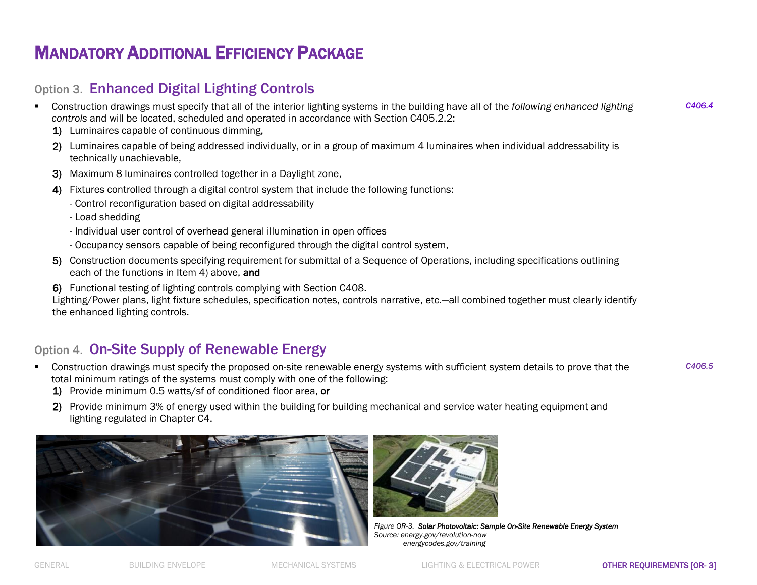### Option 3. Enhanced Digital Lighting Controls

- Construction drawings must specify that all of the interior lighting systems in the building have all of the *following enhanced lighting controls* and will be located, scheduled and operated in accordance with Section C405.2.2:
	- 1) Luminaires capable of continuous dimming,
	- 2) Luminaires capable of being addressed individually, or in a group of maximum 4 luminaires when individual addressability is technically unachievable,
	- 3) Maximum 8 luminaires controlled together in a Daylight zone,
	- 4) Fixtures controlled through a digital control system that include the following functions:
		- Control reconfiguration based on digital addressability
		- Load shedding
		- Individual user control of overhead general illumination in open offices
		- Occupancy sensors capable of being reconfigured through the digital control system,
	- 5) Construction documents specifying requirement for submittal of a Sequence of Operations, including specifications outlining each of the functions in Item 4) above, and
	- 6) Functional testing of lighting controls complying with Section C408.

Lighting/Power plans, light fixture schedules, specification notes, controls narrative, etc.—all combined together must clearly identify the enhanced lighting controls.

### Option 4. On-Site Supply of Renewable Energy

 Construction drawings must specify the proposed on-site renewable energy systems with sufficient system details to prove that the total minimum ratings of the systems must comply with one of the following:

*C406.5*

*C406.4*

- 1) Provide minimum 0.5 watts/sf of conditioned floor area, or
- 2) Provide minimum 3% of energy used within the building for building mechanical and service water heating equipment and lighting regulated in Chapter C4.





*Figure OR-3. Solar Photovoltaic: Sample On-Site Renewable Energy System Source: energy.gov/revolution-now energycodes.gov/training*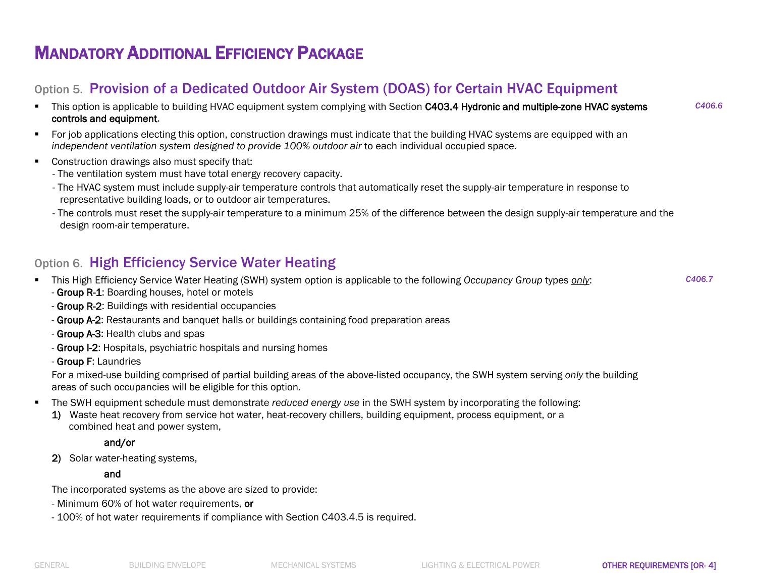### Option 5. Provision of a Dedicated Outdoor Air System (DOAS) for Certain HVAC Equipment

- This option is applicable to building HVAC equipment system complying with Section C403.4 Hydronic and multiple-zone HVAC systems controls and equipment.
- For job applications electing this option, construction drawings must indicate that the building HVAC systems are equipped with an *independent ventilation system designed to provide 100% outdoor air* to each individual occupied space.
- Construction drawings also must specify that:
	- The ventilation system must have total energy recovery capacity.
	- The HVAC system must include supply-air temperature controls that automatically reset the supply-air temperature in response to representative building loads, or to outdoor air temperatures.
	- The controls must reset the supply-air temperature to a minimum 25% of the difference between the design supply-air temperature and the design room-air temperature.

### Option 6. High Efficiency Service Water Heating

This High Efficiency Service Water Heating (SWH) system option is applicable to the following *Occupancy Group* types *only*:

*C406.7*

*C406.6*

- Group R-1: Boarding houses, hotel or motels
- Group R-2: Buildings with residential occupancies
- Group A-2: Restaurants and banquet halls or buildings containing food preparation areas
- Group A-3: Health clubs and spas
- Group I-2: Hospitals, psychiatric hospitals and nursing homes
- Group F: Laundries

For a mixed-use building comprised of partial building areas of the above-listed occupancy, the SWH system serving *only* the building areas of such occupancies will be eligible for this option.

- The SWH equipment schedule must demonstrate *reduced energy use* in the SWH system by incorporating the following:
	- 1) Waste heat recovery from service hot water, heat-recovery chillers, building equipment, process equipment, or a combined heat and power system,

#### and/or

2) Solar water-heating systems,

#### and

The incorporated systems as the above are sized to provide:

- Minimum 60% of hot water requirements, or
- 100% of hot water requirements if compliance with Section C403.4.5 is required.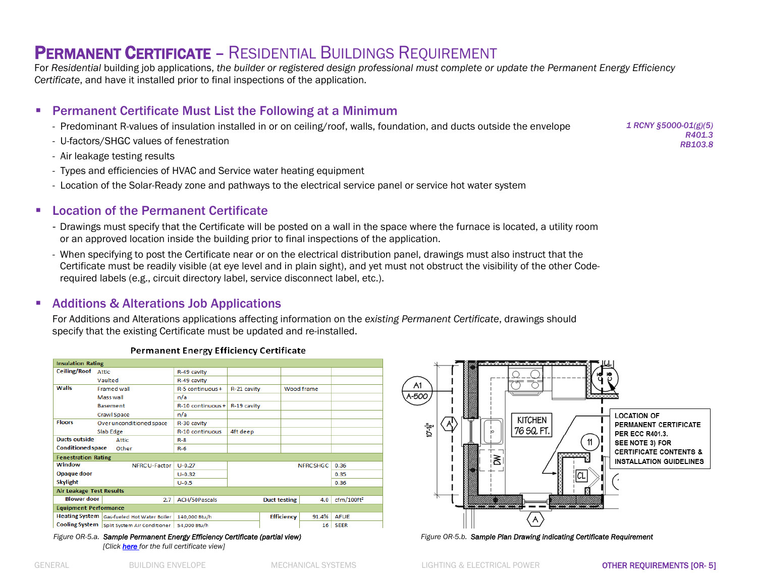### PERMANENT CERTIFICATE – RESIDENTIAL BUILDINGS REQUIREMENT

For *Residential* building job applications, *the builder or registered design professional must complete or update the Permanent Energy Efficiency Certificate*, and have it installed prior to final inspections of the application.

#### Permanent Certificate Must List the Following at a Minimum

- Predominant R-values of insulation installed in or on ceiling/roof, walls, foundation, and ducts outside the envelope
- U-factors/SHGC values of fenestration
- Air leakage testing results
- Types and efficiencies of HVAC and Service water heating equipment
- Location of the Solar-Ready zone and pathways to the electrical service panel or service hot water system

#### **E.** Location of the Permanent Certificate

- Drawings must specify that the Certificate will be posted on a wall in the space where the furnace is located, a utility room or an approved location inside the building prior to final inspections of the application.
- When specifying to post the Certificate near or on the electrical distribution panel, drawings must also instruct that the Certificate must be readily visible (at eye level and in plain sight), and yet must not obstruct the visibility of the other Coderequired labels (e.g., circuit directory label, service disconnect label, etc.).

#### **Additions & Alterations Job Applications**

For Additions and Alterations applications affecting information on the *existing Permanent Certificate*, drawings should specify that the existing Certificate must be updated and re-installed.

|                                 | <b>Insulation Rating</b>                          |                      |                         |                     |            |                        |  |
|---------------------------------|---------------------------------------------------|----------------------|-------------------------|---------------------|------------|------------------------|--|
| <b>Ceiling/Roof</b>             | <b>Attic</b>                                      | R-49 cavity          |                         |                     |            |                        |  |
|                                 | Vaulted                                           | R-49 cavity          |                         |                     |            |                        |  |
| Walls                           | <b>Framed wall</b>                                | $R-5$ continuous $+$ | R-21 cavity             |                     | Wood frame |                        |  |
|                                 | Mass wall                                         | n/a                  |                         |                     |            |                        |  |
|                                 | <b>Basement</b>                                   | R-10 continuous+     | R-19 cavity             |                     |            |                        |  |
|                                 | Crawl Space                                       | n/a                  |                         |                     |            |                        |  |
| <b>Floors</b>                   | Over unconditioned space                          | R-30 cavity          |                         |                     |            |                        |  |
|                                 | Slab Edge                                         | R-10 continuous      | 4ft deep                |                     |            |                        |  |
| Ducts outside                   | Attic                                             | $R - 8$              |                         |                     |            |                        |  |
|                                 | <b>Conditioned space</b><br>Other                 |                      |                         |                     |            |                        |  |
| <b>Fenestration Rating</b>      |                                                   |                      |                         |                     |            |                        |  |
| Window                          | NFRC U-Factor                                     | $U - 0.27$           | <b>NFRCSHGC</b><br>0.36 |                     |            |                        |  |
| Opaque door                     |                                                   |                      |                         |                     | 0.35       |                        |  |
| <b>Skylight</b>                 |                                                   | $U - 0.5$            |                         |                     | 0.36       |                        |  |
| <b>Air Leakage Test Results</b> |                                                   |                      |                         |                     |            |                        |  |
| <b>Blower door</b>              | 2.7                                               | ACH/50Pascals        |                         | <b>Duct testing</b> | 4.0        | cfm/100ft <sup>2</sup> |  |
| <b>Equipment Performance</b>    |                                                   |                      |                         |                     |            |                        |  |
|                                 | <b>Heating System</b> Gas-fueled Hot Water Boiler | 140,000 Btu/h        |                         | <b>Efficiency</b>   | 91.4%      | <b>AFUE</b>            |  |
| <b>Cooling System</b>           | Split System Air Conditioner                      | 54,000 Btu/h         |                         |                     | 16         | <b>SEER</b>            |  |

#### **Permanent Energy Efficiency Certificate**



*Figure OR-5.b. Sample Plan Drawing indicating Certificate Requirement* 

*1 RCNY §5000-01(g)(5) R401.3 RB103.8*

*Figure OR-5.a. Sample Permanent Energy Efficiency Certificate (partial view) [Clic[k here](https://www1.nyc.gov/assets/buildings/pdf/sample_permanent_energy_efficiency_certificate.pdf) for the full certificate view]*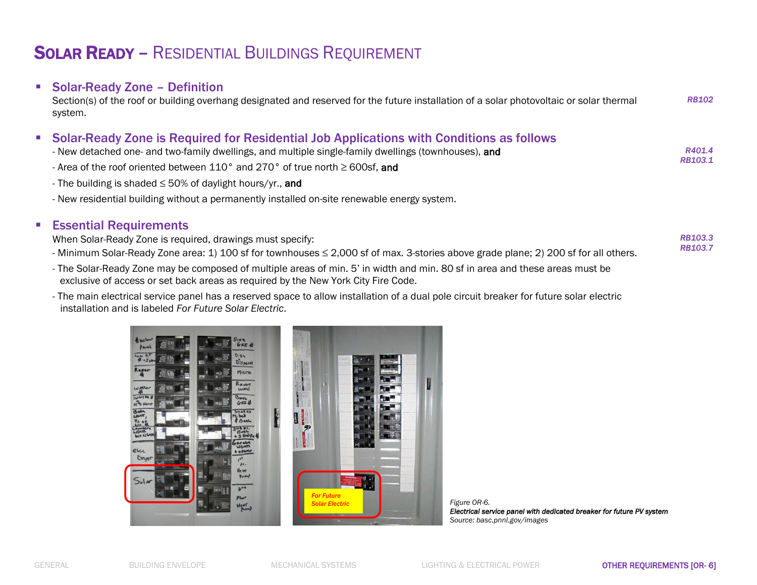# SOLAR READY – RESIDENTIAL BUILDINGS REQUIREMENT

### **Solar-Ready Zone - Definition**

Section(s) of the roof or building overhang designated and reserved for the future installation of a solar photovoltaic or solar thermal system. *RB102*

### Solar-Ready Zone is Required for Residential Job Applications with Conditions as follows

| - New detached one- and two-family dwellings, and multiple single-family dwellings (townhouses), and |         |
|------------------------------------------------------------------------------------------------------|---------|
| $\sim$ $\sim$ $\sim$ $\sim$                                                                          | RB103.1 |

- Area of the roof oriented between 110° and 270° of true north ≥ 600sf, and

- The building is shaded ≤ 50% of daylight hours/yr., and
- New residential building without a permanently installed on-site renewable energy system.

#### **Essential Requirements**

When Solar-Ready Zone is required, drawings must specify:

- Minimum Solar-Ready Zone area: 1) 100 sf for townhouses ≤ 2,000 sf of max. 3-stories above grade plane; 2) 200 sf for all others.
- *RB103.3 RB103.7*

- The Solar-Ready Zone may be composed of multiple areas of min. 5' in width and min. 80 sf in area and these areas must be exclusive of access or set back areas as required by the New York City Fire Code.
- The main electrical service panel has a reserved space to allow installation of a dual pole circuit breaker for future solar electric installation and is labeled *For Future Solar Electric*.





*Figure OR-6. Electrical service panel with dedicated breaker for future PV system Source: basc.pnnl.gov/images*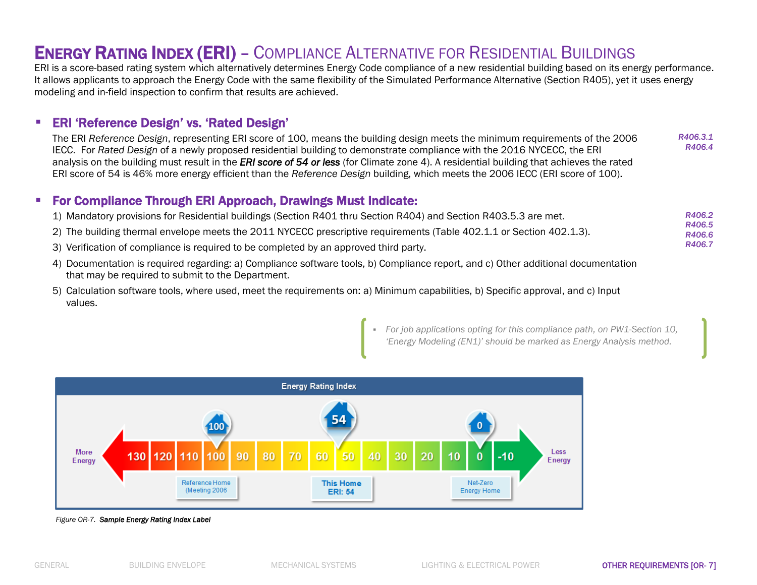### ENERGY RATING INDEX (ERI) – COMPLIANCE ALTERNATIVE FOR RESIDENTIAL BUILDINGS

ERI is a score-based rating system which alternatively determines Energy Code compliance of a new residential building based on its energy performance. It allows applicants to approach the Energy Code with the same flexibility of the Simulated Performance Alternative (Section R405), yet it uses energy modeling and in-field inspection to confirm that results are achieved.

### ERI 'Reference Design' vs. 'Rated Design'

The ERI *Reference Design*, representing ERI score of 100, means the building design meets the minimum requirements of the 2006 IECC. For *Rated Design* of a newly proposed residential building to demonstrate compliance with the 2016 NYCECC, the ERI analysis on the building must result in the *ERI score of 54 or less* (for Climate zone 4). A residential building that achieves the rated ERI score of 54 is 46% more energy efficient than the *Reference Design* building, which meets the 2006 IECC (ERI score of 100). *R406.3.1 R406.4*

#### For Compliance Through ERI Approach, Drawings Must Indicate:

| 1) Mandatory provisions for Residential buildings (Section R401 thru Section R404) and Section R403.5.3 are met.     | R406.2 |
|----------------------------------------------------------------------------------------------------------------------|--------|
|                                                                                                                      | R406.5 |
| 2) The building thermal envelope meets the 2011 NYCECC prescriptive requirements (Table 402.1.1 or Section 402.1.3). | R406.6 |
| 3) Verification of compliance is required to be completed by an approved third party.                                | R406.7 |

- 4) Documentation is required regarding: a) Compliance software tools, b) Compliance report, and c) Other additional documentation that may be required to submit to the Department.
- 5) Calculation software tools, where used, meet the requirements on: a) Minimum capabilities, b) Specific approval, and c) Input values.

 *For job applications opting for this compliance path, on PW1-Section 10, 'Energy Modeling (EN1)' should be marked as Energy Analysis method.*



#### *Figure OR-7. Sample Energy Rating Index Label*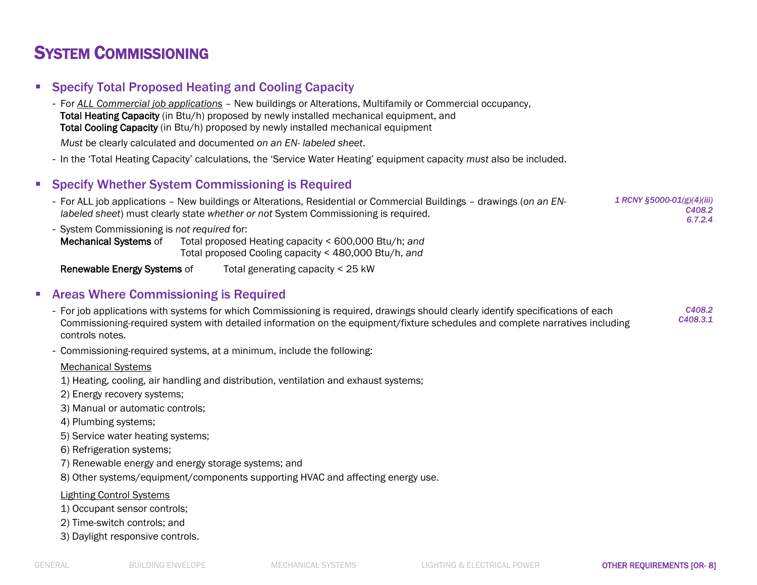## SYSTEM COMMISSIONING

- **Specify Total Proposed Heating and Cooling Capacity** 
	- For *ALL Commercial job applications* New buildings or Alterations, Multifamily or Commercial occupancy, Total Heating Capacity (in Btu/h) proposed by newly installed mechanical equipment, and Total Cooling Capacity (in Btu/h) proposed by newly installed mechanical equipment

*Must* be clearly calculated and documented *on an EN- labeled sheet*.

- In the 'Total Heating Capacity' calculations, the 'Service Water Heating' equipment capacity *must* also be included.

#### **Specify Whether System Commissioning is Required**

- For ALL job applications New buildings or Alterations, Residential or Commercial Buildings drawings (*on an ENlabeled sheet*) must clearly state *whether or not* System Commissioning is required. *1 RCNY §5000-01(g)(4)(iii) C408.2 6.7.2.4*
- System Commissioning is *not required* for:

Mechanical Systems of Total proposed Heating capacity < 600,000 Btu/h; *and* Total proposed Cooling capacity < 480,000 Btu/h, *and*

Renewable Energy Systems of Total generating capacity < 25 kW

#### **EXEQUE Areas Where Commissioning is Required**

- For job applications with systems for which Commissioning is required, drawings should clearly identify specifications of each Commissioning-required system with detailed information on the equipment/fixture schedules and complete narratives including controls notes.
- Commissioning-required systems, at a minimum, include the following:

Mechanical Systems

- 1) Heating, cooling, air handling and distribution, ventilation and exhaust systems;
- 2) Energy recovery systems;
- 3) Manual or automatic controls;
- 4) Plumbing systems;
- 5) Service water heating systems;
- 6) Refrigeration systems;
- 7) Renewable energy and energy storage systems; and

8) Other systems/equipment/components supporting HVAC and affecting energy use.

#### Lighting Control Systems

- 1) Occupant sensor controls;
- 2) Time-switch controls; and
- 3) Daylight responsive controls.

*C408.2 C408.3.1*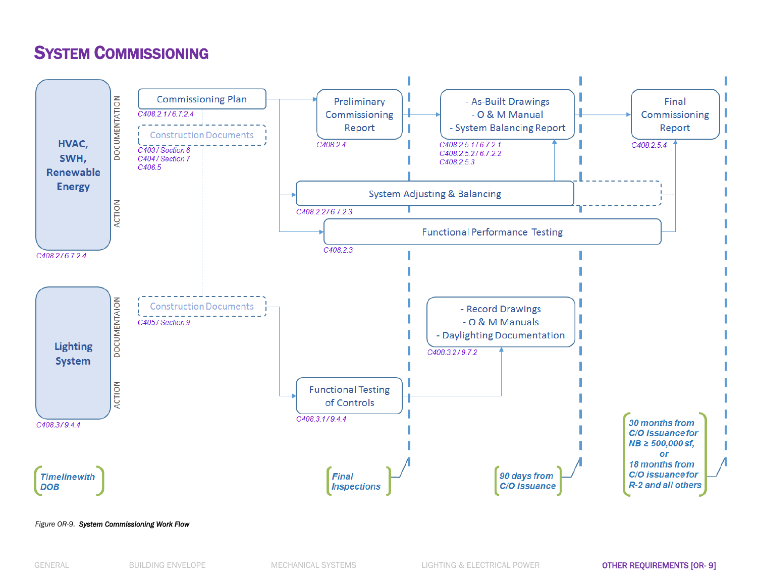# SYSTEM COMMISSIONING

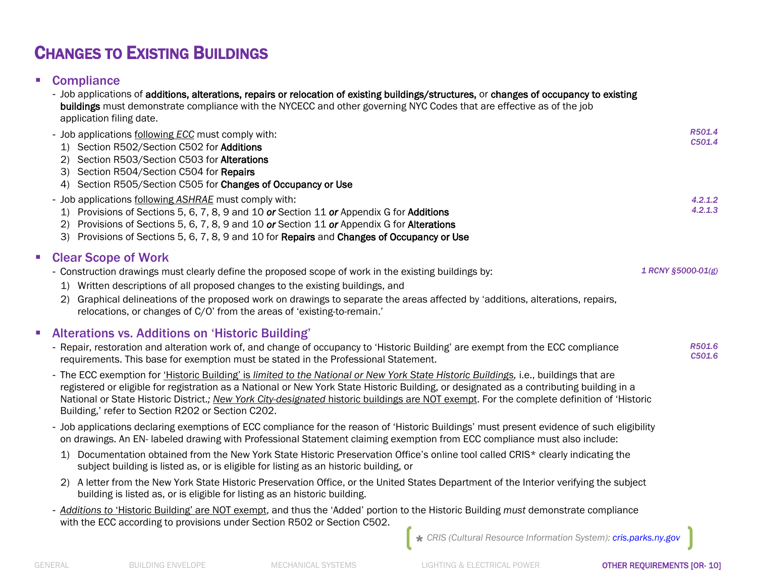# CHANGES TO EXISTING BUILDINGS

### **Compliance**

|                | - Job applications of additions, alterations, repairs or relocation of existing buildings/structures, or changes of occupancy to existing<br>buildings must demonstrate compliance with the NYCECC and other governing NYC Codes that are effective as of the job<br>application filing date.<br>- Job applications following ECC must comply with:<br>1) Section R502/Section C502 for Additions<br>2) Section R503/Section C503 for Alterations                                                                                                                                                                                                                                                                                                                                                                                                                                                                                                                                                                                                                                                                                                                                                                                                                                                                                                                                                                                                                                                                                                                                                                                                                                                                                     | R501.4<br>C501.4   |
|----------------|---------------------------------------------------------------------------------------------------------------------------------------------------------------------------------------------------------------------------------------------------------------------------------------------------------------------------------------------------------------------------------------------------------------------------------------------------------------------------------------------------------------------------------------------------------------------------------------------------------------------------------------------------------------------------------------------------------------------------------------------------------------------------------------------------------------------------------------------------------------------------------------------------------------------------------------------------------------------------------------------------------------------------------------------------------------------------------------------------------------------------------------------------------------------------------------------------------------------------------------------------------------------------------------------------------------------------------------------------------------------------------------------------------------------------------------------------------------------------------------------------------------------------------------------------------------------------------------------------------------------------------------------------------------------------------------------------------------------------------------|--------------------|
|                | 3) Section R504/Section C504 for Repairs<br>4) Section R505/Section C505 for Changes of Occupancy or Use<br>- Job applications following ASHRAE must comply with:<br>1) Provisions of Sections 5, 6, 7, 8, 9 and 10 or Section 11 or Appendix G for Additions<br>Provisions of Sections 5, 6, 7, 8, 9 and 10 or Section 11 or Appendix G for Alterations<br>3) Provisions of Sections 5, 6, 7, 8, 9 and 10 for Repairs and Changes of Occupancy or Use                                                                                                                                                                                                                                                                                                                                                                                                                                                                                                                                                                                                                                                                                                                                                                                                                                                                                                                                                                                                                                                                                                                                                                                                                                                                                | 4.2.1.2<br>4.2.1.3 |
| $\blacksquare$ | <b>Clear Scope of Work</b><br>- Construction drawings must clearly define the proposed scope of work in the existing buildings by:<br>1) Written descriptions of all proposed changes to the existing buildings, and<br>Graphical delineations of the proposed work on drawings to separate the areas affected by 'additions, alterations, repairs,<br>(2)<br>relocations, or changes of C/O' from the areas of 'existing-to-remain.'                                                                                                                                                                                                                                                                                                                                                                                                                                                                                                                                                                                                                                                                                                                                                                                                                                                                                                                                                                                                                                                                                                                                                                                                                                                                                                 | 1 RCNY §5000-01(g) |
|                | <b>Alterations vs. Additions on 'Historic Building'</b><br>- Repair, restoration and alteration work of, and change of occupancy to 'Historic Building' are exempt from the ECC compliance<br>requirements. This base for exemption must be stated in the Professional Statement.<br>- The ECC exemption for <i>'Historic Building' is limited to the National or New York State Historic Buildings, i.e., buildings that are</i><br>registered or eligible for registration as a National or New York State Historic Building, or designated as a contributing building in a<br>National or State Historic District.; New York City-designated historic buildings are NOT exempt. For the complete definition of 'Historic<br>Building,' refer to Section R202 or Section C202.<br>- Job applications declaring exemptions of ECC compliance for the reason of 'Historic Buildings' must present evidence of such eligibility<br>on drawings. An EN- labeled drawing with Professional Statement claiming exemption from ECC compliance must also include:<br>1) Documentation obtained from the New York State Historic Preservation Office's online tool called CRIS* clearly indicating the<br>subject building is listed as, or is eligible for listing as an historic building, or<br>2) A letter from the New York State Historic Preservation Office, or the United States Department of the Interior verifying the subject<br>building is listed as, or is eligible for listing as an historic building.<br>- Additions to 'Historic Building' are NOT exempt, and thus the 'Added' portion to the Historic Building must demonstrate compliance<br>with the ECC according to provisions under Section R502 or Section C502. | R501.6<br>C501.6   |
|                | CRIS (Cultural Resource Information System): cris.parks.ny.gov                                                                                                                                                                                                                                                                                                                                                                                                                                                                                                                                                                                                                                                                                                                                                                                                                                                                                                                                                                                                                                                                                                                                                                                                                                                                                                                                                                                                                                                                                                                                                                                                                                                                        |                    |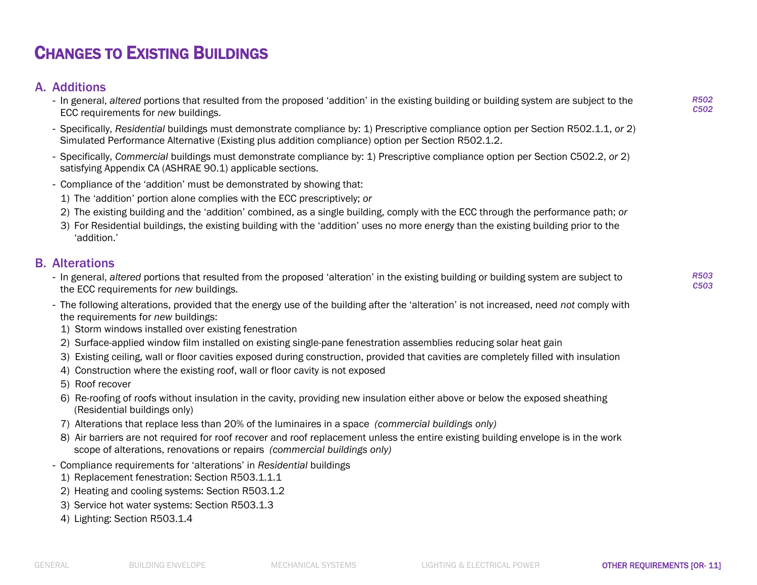# CHANGES TO EXISTING BUILDINGS

### A. Additions

- In general, *altered* portions that resulted from the proposed 'addition' in the existing building or building system are subject to the ECC requirements for *new* buildings.
- Specifically, *Residential* buildings must demonstrate compliance by: 1) Prescriptive compliance option per Section R502.1.1, *or* 2) Simulated Performance Alternative (Existing plus addition compliance) option per Section R502.1.2.
- Specifically, *Commercial* buildings must demonstrate compliance by: 1) Prescriptive compliance option per Section C502.2, *or* 2) satisfying Appendix CA (ASHRAE 90.1) applicable sections.
- Compliance of the 'addition' must be demonstrated by showing that:
	- 1) The 'addition' portion alone complies with the ECC prescriptively; *or*
	- 2) The existing building and the 'addition' combined, as a single building, comply with the ECC through the performance path; *or*
	- 3) For Residential buildings, the existing building with the 'addition' uses no more energy than the existing building prior to the 'addition.'

#### B. Alterations

- In general, *altered* portions that resulted from the proposed 'alteration' in the existing building or building system are subject to the ECC requirements for *new* buildings.
- The following alterations, provided that the energy use of the building after the 'alteration' is not increased, need *not* comply with the requirements for *new* buildings:
	- 1) Storm windows installed over existing fenestration
- 2) Surface-applied window film installed on existing single-pane fenestration assemblies reducing solar heat gain
- 3) Existing ceiling, wall or floor cavities exposed during construction, provided that cavities are completely filled with insulation
- 4) Construction where the existing roof, wall or floor cavity is not exposed
- 5) Roof recover
- 6) Re-roofing of roofs without insulation in the cavity, providing new insulation either above or below the exposed sheathing (Residential buildings only)
- 7) Alterations that replace less than 20% of the luminaires in a space *(commercial buildings only)*
- 8) Air barriers are not required for roof recover and roof replacement unless the entire existing building envelope is in the work scope of alterations, renovations or repairs *(commercial buildings only)*
- Compliance requirements for 'alterations' in *Residential* buildings
	- 1) Replacement fenestration: Section R503.1.1.1
	- 2) Heating and cooling systems: Section R503.1.2
	- 3) Service hot water systems: Section R503.1.3
	- 4) Lighting: Section R503.1.4

*R502 C502*